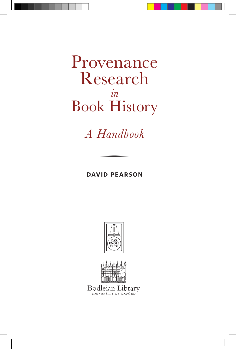Provenance Research *in* Book History

*A Handbook*

**david pearson**

o





Bodleian I ibrary UNIVERSITY OF OXFORD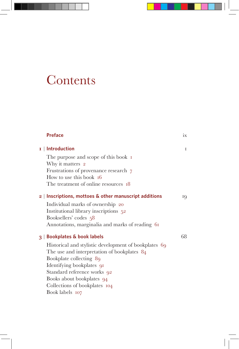# **Contents**

| <b>Preface</b>                                                                                                                                                                                                                                                                                                                        | ix  |
|---------------------------------------------------------------------------------------------------------------------------------------------------------------------------------------------------------------------------------------------------------------------------------------------------------------------------------------|-----|
| $I \mid$ Introduction<br>The purpose and scope of this book 1<br>Why it matters 2<br>Frustrations of provenance research 7<br>How to use this book $16$<br>The treatment of online resources 18                                                                                                                                       | L   |
| $2 \mid$ Inscriptions, mottoes & other manuscript additions<br>Individual marks of ownership 20<br>Institutional library inscriptions 52<br>Booksellers' codes 58<br>Annotations, marginalia and marks of reading 61                                                                                                                  | IQ. |
| <b>Bookplates &amp; book labels</b><br>3 <sup>1</sup><br>Historical and stylistic development of bookplates 69<br>The use and interpretation of bookplates 84<br>Bookplate collecting 89<br>Identifying bookplates 91<br>Standard reference works 92<br>Books about bookplates 94<br>Collections of bookplates 104<br>Book labels 107 | 68  |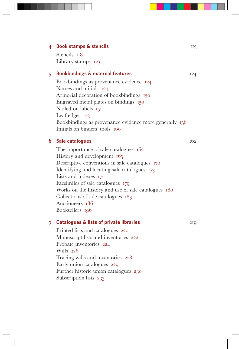| $4$   Book stamps & stencils                           | 113 |
|--------------------------------------------------------|-----|
| Stencils 118                                           |     |
| Library stamps 119                                     |     |
| $5$   Bookbindings & external features                 | 124 |
| Bookbindings as provenance evidence 124                |     |
| Names and initials 124                                 |     |
| Armorial decoration of bookbindings 130                |     |
| Engraved metal plates on bindings 150                  |     |
| Nailed-on labels 151                                   |     |
| Leaf edges $153$                                       |     |
| Bookbindings as provenance evidence more generally 156 |     |
| Initials on binders' tools 160                         |     |
| $6 \mid$ Sale catalogues                               | 162 |
| The importance of sale catalogues 162                  |     |
| History and development 165                            |     |
| Descriptive conventions in sale catalogues 170         |     |
| Identifying and locating sale catalogues 173           |     |
| Lists and indexes 174                                  |     |
| Facsimiles of sale catalogues 179                      |     |
| Works on the history and use of sale catalogues 180    |     |
| Collections of sale catalogues 183                     |     |
| Auctioneers 186                                        |     |
| Booksellers 196                                        |     |
| $7$   Catalogues & lists of private libraries          | 219 |
| Printed lists and catalogues 220                       |     |
| Manuscript lists and inventories 222                   |     |
| Probate inventories 224                                |     |
| Wills 226                                              |     |
| Tracing wills and inventories 228                      |     |

Early union catalogues 229

Further historic union catalogues 230 Subscription lists 233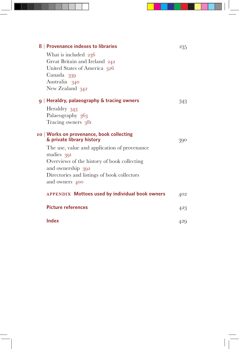| 8   Provenance indexes to libraries                                    | 235 |
|------------------------------------------------------------------------|-----|
| What is included 236                                                   |     |
| Great Britain and Ireland 242                                          |     |
| United States of America 326                                           |     |
| Canada 339                                                             |     |
| Australia 340                                                          |     |
| New Zealand 342                                                        |     |
| $9 \mid$ Heraldry, palaeography & tracing owners                       | 343 |
| Heraldry 343                                                           |     |
| Palaeography 363                                                       |     |
| Tracing owners 381                                                     |     |
| 10   Works on provenance, book collecting<br>& private library history |     |
|                                                                        | 390 |
| The use, value and application of provenance<br>studies 391            |     |
| Overviews of the history of book collecting                            |     |
| and ownership 392                                                      |     |
| Directories and listings of book collectors                            |     |
| and owners 400                                                         |     |
| <b>APPENDIX Mottoes used by individual book owners</b>                 | 402 |
| <b>Picture references</b>                                              | 423 |
| Index                                                                  | 429 |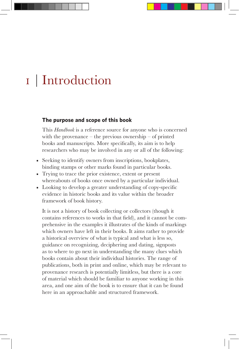# I | Introduction

### **The purpose and scope of this book**

This *Handbook* is a reference source for anyone who is concerned with the provenance – the previous ownership – of printed books and manuscripts. More specifically, its aim is to help researchers who may be involved in any or all of the following:

- Seeking to identify owners from inscriptions, bookplates, binding stamps or other marks found in particular books.
- Trying to trace the prior existence, extent or present whereabouts of books once owned by a particular individual.
- Looking to develop a greater understanding of copy-specific evidence in historic books and its value within the broader framework of book history.

It is not a history of book collecting or collectors (though it contains references to works in that field), and it cannot be comprehensive in the examples it illustrates of the kinds of markings which owners have left in their books. It aims rather to provide a historical overview of what is typical and what is less so, guidance on recognizing, deciphering and dating, signposts as to where to go next in understanding the many clues which books contain about their individual histories. The range of publications, both in print and online, which may be relevant to provenance research is potentially limitless, but there is a core of material which should be familiar to anyone working in this area, and one aim of the book is to ensure that it can be found here in an approachable and structured framework.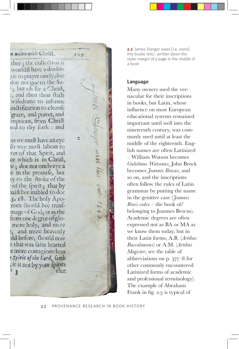### mnion with Chrift.

 $109$ 

 $\overline{2}$ 

ree: the collection is ould thave a double e to prayer onely, doc De not goe to the Sabut oh fee a Chrift. and then thou fhalt ifedome to informe **Ctification to cleanfe** race, and power, and iptions, from Chrift d to thy foule: and

we muft have an eye wee muft labour to er of that Spirit, and which is in Chrift, ; doe not onely eye a in the promife, but to the ftroke of the of the fpirit; that by ift bee inabled to doe . 18. The holy Apoen fhould bee tranfage of God, or as the om one degree of glonore holy, and more and more heavenly d before, fhould now that was faint hearted more couragious how spirit of the Lord, faith t is not by your fpirits that  $\overline{\mathbf{z}}$ 

**2.2** 'James Stanger owes [i.e. owns] this booke 1662', written down the outer margin of a page in the middle of a book

#### **Language**

Many owners used the vernacular for their inscriptions in books, but Latin, whose influence on most European educational systems remained important until well into the nineteenth century, was commonly used until at least the middle of the eighteenth. English names are often Latinized – William Watson becomes *Gulielmus Watsonus*, John Brock becomes *Joannes Brocus*, and so on, and the inscriptions often follow the rules of Latin grammar by putting the name in the genitive case (*Joannis Broci codex* – the book of/ belonging to Joannes Brocus). Academic degrees are often expressed not as BA or MA as we know them today, but in their Latin forms, A.B. (*Artibus Baccalaureus*) or A.M. (*Artibus Magister*; see the table of abbreviations on p. 377–8 for other commonly encountered Latinized forms of academic and professional terminology). The example of Abraham Frank in fig. 2.3 is typical of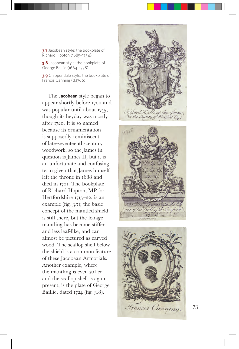**3.7** Jacobean style: the bookplate of Richard Hopton (1685 –1754 )

**3.8** Jacobean style: the bookplate of George Baillie (1664 –1738 )

**3.9** Chippendale style: the bookplate of Francis Canning (d. 1766 )

The **Jacobean** style began to appear shortly before 1700 and was popular until about 1745, though its heyday was mostly after 1720. It is so named because its ornamentation is supposedly reminiscent of late-seventeenth-century woodwork, so the James in question is James II, but it is an unfortunate and confusing term given that James himself left the throne in 1688 and died in 1701. The bookplate of Richard Hopton, MP for Hertfordshire 1715 –22, is an example (fig. 3 . 7); the basic concept of the mantled shield is still there, but the foliage mantling has become stiffer and less leaf-like, and can almost be pictured as carved wood. The scallop shell below the shield is a common feature of these Jacobean Armorials. Another example, where the mantling is even stiffer and the scallop shell is again present, is the plate of George Baillie, dated 1724 (fig. 3.8).